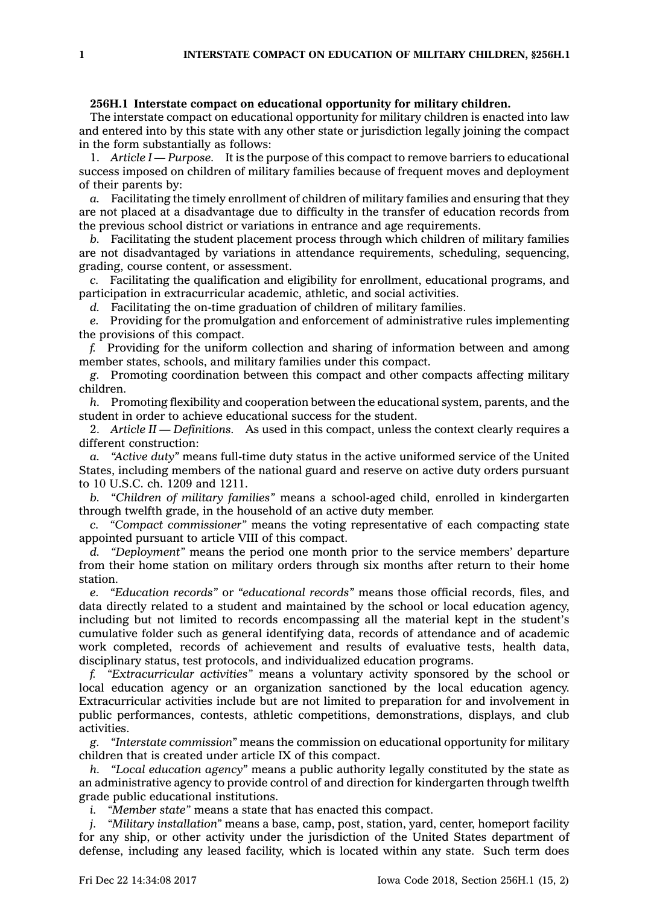## **256H.1 Interstate compact on educational opportunity for military children.**

The interstate compact on educational opportunity for military children is enacted into law and entered into by this state with any other state or jurisdiction legally joining the compact in the form substantially as follows:

1. *Article I —Purpose.* It is the purpose of this compact to remove barriers to educational success imposed on children of military families because of frequent moves and deployment of their parents by:

*a.* Facilitating the timely enrollment of children of military families and ensuring that they are not placed at <sup>a</sup> disadvantage due to difficulty in the transfer of education records from the previous school district or variations in entrance and age requirements.

*b.* Facilitating the student placement process through which children of military families are not disadvantaged by variations in attendance requirements, scheduling, sequencing, grading, course content, or assessment.

*c.* Facilitating the qualification and eligibility for enrollment, educational programs, and participation in extracurricular academic, athletic, and social activities.

*d.* Facilitating the on-time graduation of children of military families.

*e.* Providing for the promulgation and enforcement of administrative rules implementing the provisions of this compact.

*f.* Providing for the uniform collection and sharing of information between and among member states, schools, and military families under this compact.

*g.* Promoting coordination between this compact and other compacts affecting military children.

*h.* Promoting flexibility and cooperation between the educational system, parents, and the student in order to achieve educational success for the student.

2. *Article II —Definitions.* As used in this compact, unless the context clearly requires <sup>a</sup> different construction:

*a. "Active duty"* means full-time duty status in the active uniformed service of the United States, including members of the national guard and reserve on active duty orders pursuant to 10 U.S.C. ch. 1209 and 1211.

*b. "Children of military families"* means <sup>a</sup> school-aged child, enrolled in kindergarten through twelfth grade, in the household of an active duty member.

*c. "Compact commissioner"* means the voting representative of each compacting state appointed pursuant to article VIII of this compact.

*d. "Deployment"* means the period one month prior to the service members' departure from their home station on military orders through six months after return to their home station.

*e. "Education records"* or *"educational records"* means those official records, files, and data directly related to <sup>a</sup> student and maintained by the school or local education agency, including but not limited to records encompassing all the material kept in the student's cumulative folder such as general identifying data, records of attendance and of academic work completed, records of achievement and results of evaluative tests, health data, disciplinary status, test protocols, and individualized education programs.

*f. "Extracurricular activities"* means <sup>a</sup> voluntary activity sponsored by the school or local education agency or an organization sanctioned by the local education agency. Extracurricular activities include but are not limited to preparation for and involvement in public performances, contests, athletic competitions, demonstrations, displays, and club activities.

*g. "Interstate commission"* means the commission on educational opportunity for military children that is created under article IX of this compact.

*h. "Local education agency"* means <sup>a</sup> public authority legally constituted by the state as an administrative agency to provide control of and direction for kindergarten through twelfth grade public educational institutions.

*i. "Member state"* means <sup>a</sup> state that has enacted this compact.

*j. "Military installation"* means <sup>a</sup> base, camp, post, station, yard, center, homeport facility for any ship, or other activity under the jurisdiction of the United States department of defense, including any leased facility, which is located within any state. Such term does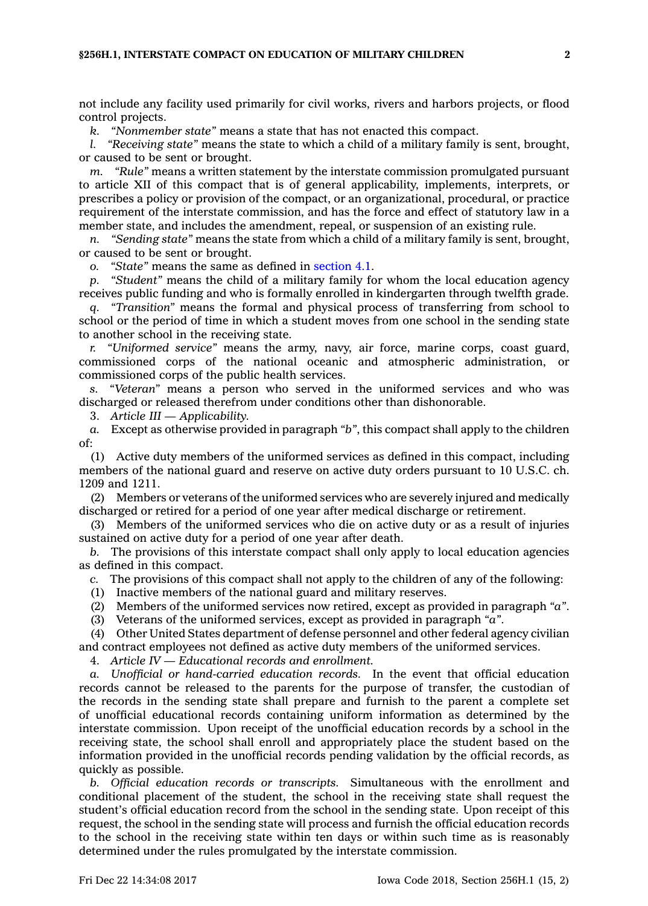not include any facility used primarily for civil works, rivers and harbors projects, or flood control projects.

*k. "Nonmember state"* means <sup>a</sup> state that has not enacted this compact.

*l. "Receiving state"* means the state to which <sup>a</sup> child of <sup>a</sup> military family is sent, brought, or caused to be sent or brought.

*m. "Rule"* means <sup>a</sup> written statement by the interstate commission promulgated pursuant to article XII of this compact that is of general applicability, implements, interprets, or prescribes <sup>a</sup> policy or provision of the compact, or an organizational, procedural, or practice requirement of the interstate commission, and has the force and effect of statutory law in <sup>a</sup> member state, and includes the amendment, repeal, or suspension of an existing rule.

*n. "Sending state"* means the state from which <sup>a</sup> child of <sup>a</sup> military family is sent, brought, or caused to be sent or brought.

*o. "State"* means the same as defined in [section](https://www.legis.iowa.gov/docs/code/4.1.pdf) 4.1.

*p. "Student"* means the child of <sup>a</sup> military family for whom the local education agency receives public funding and who is formally enrolled in kindergarten through twelfth grade.

*q. "Transition"* means the formal and physical process of transferring from school to school or the period of time in which <sup>a</sup> student moves from one school in the sending state to another school in the receiving state.

*r. "Uniformed service"* means the army, navy, air force, marine corps, coast guard, commissioned corps of the national oceanic and atmospheric administration, commissioned corps of the public health services.

*s. "Veteran"* means <sup>a</sup> person who served in the uniformed services and who was discharged or released therefrom under conditions other than dishonorable.

3. *Article III —Applicability.*

*a.* Except as otherwise provided in paragraph *"b"*, this compact shall apply to the children of:

(1) Active duty members of the uniformed services as defined in this compact, including members of the national guard and reserve on active duty orders pursuant to 10 U.S.C. ch. 1209 and 1211.

(2) Members or veterans of the uniformed services who are severely injured and medically discharged or retired for <sup>a</sup> period of one year after medical discharge or retirement.

(3) Members of the uniformed services who die on active duty or as <sup>a</sup> result of injuries sustained on active duty for <sup>a</sup> period of one year after death.

*b.* The provisions of this interstate compact shall only apply to local education agencies as defined in this compact.

*c.* The provisions of this compact shall not apply to the children of any of the following:

(1) Inactive members of the national guard and military reserves.

(2) Members of the uniformed services now retired, except as provided in paragraph *"a"*.

(3) Veterans of the uniformed services, except as provided in paragraph *"a"*.

(4) Other United States department of defense personnel and other federal agency civilian and contract employees not defined as active duty members of the uniformed services.

4. *Article IV — Educational records and enrollment.*

*a. Unofficial or hand-carried education records.* In the event that official education records cannot be released to the parents for the purpose of transfer, the custodian of the records in the sending state shall prepare and furnish to the parent <sup>a</sup> complete set of unofficial educational records containing uniform information as determined by the interstate commission. Upon receipt of the unofficial education records by <sup>a</sup> school in the receiving state, the school shall enroll and appropriately place the student based on the information provided in the unofficial records pending validation by the official records, as quickly as possible.

*b. Official education records or transcripts.* Simultaneous with the enrollment and conditional placement of the student, the school in the receiving state shall request the student's official education record from the school in the sending state. Upon receipt of this request, the school in the sending state will process and furnish the official education records to the school in the receiving state within ten days or within such time as is reasonably determined under the rules promulgated by the interstate commission.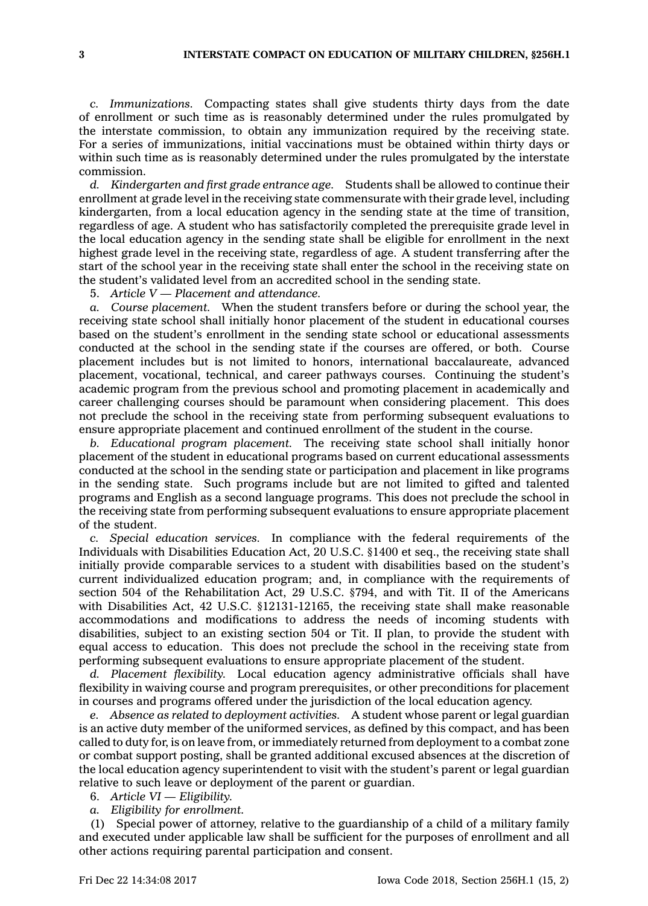*c. Immunizations.* Compacting states shall give students thirty days from the date of enrollment or such time as is reasonably determined under the rules promulgated by the interstate commission, to obtain any immunization required by the receiving state. For <sup>a</sup> series of immunizations, initial vaccinations must be obtained within thirty days or within such time as is reasonably determined under the rules promulgated by the interstate commission.

*d. Kindergarten and first grade entrance age.* Students shall be allowed to continue their enrollment at grade level in the receiving state commensurate with their grade level, including kindergarten, from <sup>a</sup> local education agency in the sending state at the time of transition, regardless of age. A student who has satisfactorily completed the prerequisite grade level in the local education agency in the sending state shall be eligible for enrollment in the next highest grade level in the receiving state, regardless of age. A student transferring after the start of the school year in the receiving state shall enter the school in the receiving state on the student's validated level from an accredited school in the sending state.

5. *Article V — Placement and attendance.*

*a. Course placement.* When the student transfers before or during the school year, the receiving state school shall initially honor placement of the student in educational courses based on the student's enrollment in the sending state school or educational assessments conducted at the school in the sending state if the courses are offered, or both. Course placement includes but is not limited to honors, international baccalaureate, advanced placement, vocational, technical, and career pathways courses. Continuing the student's academic program from the previous school and promoting placement in academically and career challenging courses should be paramount when considering placement. This does not preclude the school in the receiving state from performing subsequent evaluations to ensure appropriate placement and continued enrollment of the student in the course.

*b. Educational program placement.* The receiving state school shall initially honor placement of the student in educational programs based on current educational assessments conducted at the school in the sending state or participation and placement in like programs in the sending state. Such programs include but are not limited to gifted and talented programs and English as <sup>a</sup> second language programs. This does not preclude the school in the receiving state from performing subsequent evaluations to ensure appropriate placement of the student.

*c. Special education services.* In compliance with the federal requirements of the Individuals with Disabilities Education Act, 20 U.S.C. §1400 et seq., the receiving state shall initially provide comparable services to <sup>a</sup> student with disabilities based on the student's current individualized education program; and, in compliance with the requirements of section 504 of the Rehabilitation Act, 29 U.S.C. §794, and with Tit. II of the Americans with Disabilities Act, 42 U.S.C. §12131-12165, the receiving state shall make reasonable accommodations and modifications to address the needs of incoming students with disabilities, subject to an existing section 504 or Tit. II plan, to provide the student with equal access to education. This does not preclude the school in the receiving state from performing subsequent evaluations to ensure appropriate placement of the student.

*d. Placement flexibility.* Local education agency administrative officials shall have flexibility in waiving course and program prerequisites, or other preconditions for placement in courses and programs offered under the jurisdiction of the local education agency.

*e. Absence as related to deployment activities.* A student whose parent or legal guardian is an active duty member of the uniformed services, as defined by this compact, and has been called to duty for, is on leave from, or immediately returned from deployment to <sup>a</sup> combat zone or combat support posting, shall be granted additional excused absences at the discretion of the local education agency superintendent to visit with the student's parent or legal guardian relative to such leave or deployment of the parent or guardian.

- 6. *Article VI — Eligibility.*
- *a. Eligibility for enrollment.*

(1) Special power of attorney, relative to the guardianship of <sup>a</sup> child of <sup>a</sup> military family and executed under applicable law shall be sufficient for the purposes of enrollment and all other actions requiring parental participation and consent.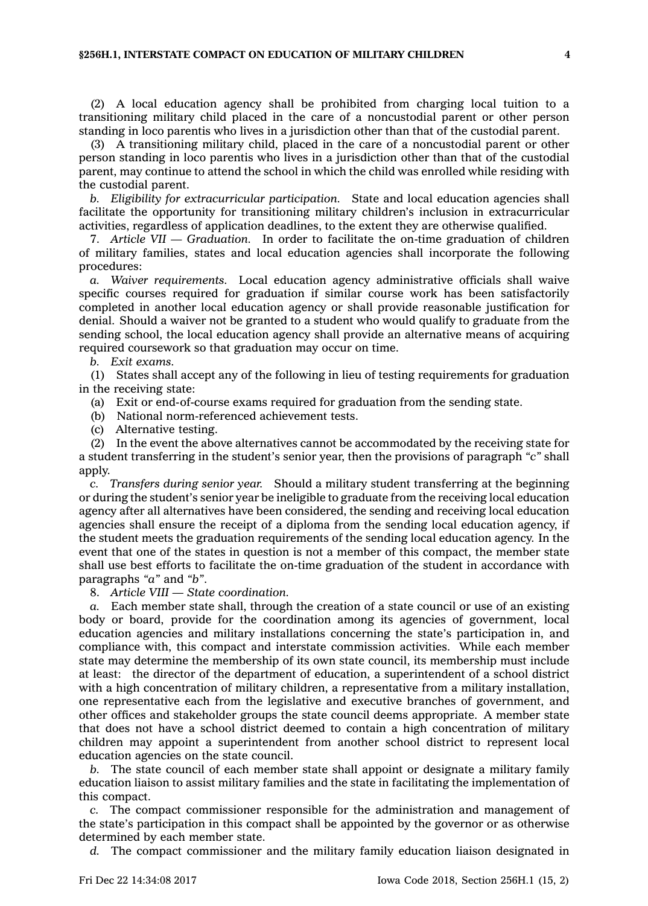## **§256H.1, INTERSTATE COMPACT ON EDUCATION OF MILITARY CHILDREN 4**

(2) A local education agency shall be prohibited from charging local tuition to <sup>a</sup> transitioning military child placed in the care of <sup>a</sup> noncustodial parent or other person standing in loco parentis who lives in <sup>a</sup> jurisdiction other than that of the custodial parent.

(3) A transitioning military child, placed in the care of <sup>a</sup> noncustodial parent or other person standing in loco parentis who lives in <sup>a</sup> jurisdiction other than that of the custodial parent, may continue to attend the school in which the child was enrolled while residing with the custodial parent.

*b. Eligibility for extracurricular participation.* State and local education agencies shall facilitate the opportunity for transitioning military children's inclusion in extracurricular activities, regardless of application deadlines, to the extent they are otherwise qualified.

7. *Article VII — Graduation.* In order to facilitate the on-time graduation of children of military families, states and local education agencies shall incorporate the following procedures:

*a. Waiver requirements.* Local education agency administrative officials shall waive specific courses required for graduation if similar course work has been satisfactorily completed in another local education agency or shall provide reasonable justification for denial. Should <sup>a</sup> waiver not be granted to <sup>a</sup> student who would qualify to graduate from the sending school, the local education agency shall provide an alternative means of acquiring required coursework so that graduation may occur on time.

## *b. Exit exams.*

(1) States shall accept any of the following in lieu of testing requirements for graduation in the receiving state:

(a) Exit or end-of-course exams required for graduation from the sending state.

(b) National norm-referenced achievement tests.

(c) Alternative testing.

(2) In the event the above alternatives cannot be accommodated by the receiving state for <sup>a</sup> student transferring in the student's senior year, then the provisions of paragraph *"c"* shall apply.

*c. Transfers during senior year.* Should <sup>a</sup> military student transferring at the beginning or during the student's senior year be ineligible to graduate from the receiving local education agency after all alternatives have been considered, the sending and receiving local education agencies shall ensure the receipt of <sup>a</sup> diploma from the sending local education agency, if the student meets the graduation requirements of the sending local education agency. In the event that one of the states in question is not <sup>a</sup> member of this compact, the member state shall use best efforts to facilitate the on-time graduation of the student in accordance with paragraphs *"a"* and *"b"*.

8. *Article VIII —State coordination.*

*a.* Each member state shall, through the creation of <sup>a</sup> state council or use of an existing body or board, provide for the coordination among its agencies of government, local education agencies and military installations concerning the state's participation in, and compliance with, this compact and interstate commission activities. While each member state may determine the membership of its own state council, its membership must include at least: the director of the department of education, <sup>a</sup> superintendent of <sup>a</sup> school district with <sup>a</sup> high concentration of military children, <sup>a</sup> representative from <sup>a</sup> military installation, one representative each from the legislative and executive branches of government, and other offices and stakeholder groups the state council deems appropriate. A member state that does not have <sup>a</sup> school district deemed to contain <sup>a</sup> high concentration of military children may appoint <sup>a</sup> superintendent from another school district to represent local education agencies on the state council.

*b.* The state council of each member state shall appoint or designate <sup>a</sup> military family education liaison to assist military families and the state in facilitating the implementation of this compact.

*c.* The compact commissioner responsible for the administration and management of the state's participation in this compact shall be appointed by the governor or as otherwise determined by each member state.

*d.* The compact commissioner and the military family education liaison designated in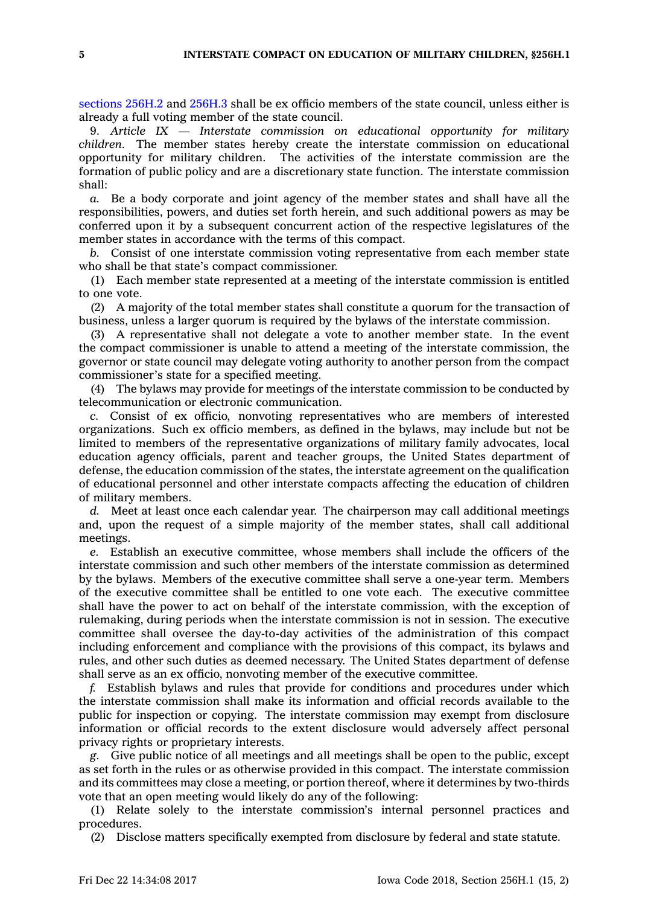[sections](https://www.legis.iowa.gov/docs/code/256H.2.pdf) 256H.2 and [256H.3](https://www.legis.iowa.gov/docs/code/256H.3.pdf) shall be ex officio members of the state council, unless either is already <sup>a</sup> full voting member of the state council.

9. *Article IX — Interstate commission on educational opportunity for military children.* The member states hereby create the interstate commission on educational opportunity for military children. The activities of the interstate commission are the formation of public policy and are <sup>a</sup> discretionary state function. The interstate commission shall:

*a.* Be <sup>a</sup> body corporate and joint agency of the member states and shall have all the responsibilities, powers, and duties set forth herein, and such additional powers as may be conferred upon it by <sup>a</sup> subsequent concurrent action of the respective legislatures of the member states in accordance with the terms of this compact.

*b.* Consist of one interstate commission voting representative from each member state who shall be that state's compact commissioner.

(1) Each member state represented at <sup>a</sup> meeting of the interstate commission is entitled to one vote.

(2) A majority of the total member states shall constitute <sup>a</sup> quorum for the transaction of business, unless <sup>a</sup> larger quorum is required by the bylaws of the interstate commission.

(3) A representative shall not delegate <sup>a</sup> vote to another member state. In the event the compact commissioner is unable to attend <sup>a</sup> meeting of the interstate commission, the governor or state council may delegate voting authority to another person from the compact commissioner's state for <sup>a</sup> specified meeting.

(4) The bylaws may provide for meetings of the interstate commission to be conducted by telecommunication or electronic communication.

*c.* Consist of ex officio, nonvoting representatives who are members of interested organizations. Such ex officio members, as defined in the bylaws, may include but not be limited to members of the representative organizations of military family advocates, local education agency officials, parent and teacher groups, the United States department of defense, the education commission of the states, the interstate agreement on the qualification of educational personnel and other interstate compacts affecting the education of children of military members.

*d.* Meet at least once each calendar year. The chairperson may call additional meetings and, upon the request of <sup>a</sup> simple majority of the member states, shall call additional meetings.

*e.* Establish an executive committee, whose members shall include the officers of the interstate commission and such other members of the interstate commission as determined by the bylaws. Members of the executive committee shall serve <sup>a</sup> one-year term. Members of the executive committee shall be entitled to one vote each. The executive committee shall have the power to act on behalf of the interstate commission, with the exception of rulemaking, during periods when the interstate commission is not in session. The executive committee shall oversee the day-to-day activities of the administration of this compact including enforcement and compliance with the provisions of this compact, its bylaws and rules, and other such duties as deemed necessary. The United States department of defense shall serve as an ex officio, nonvoting member of the executive committee.

*f.* Establish bylaws and rules that provide for conditions and procedures under which the interstate commission shall make its information and official records available to the public for inspection or copying. The interstate commission may exempt from disclosure information or official records to the extent disclosure would adversely affect personal privacy rights or proprietary interests.

*g.* Give public notice of all meetings and all meetings shall be open to the public, except as set forth in the rules or as otherwise provided in this compact. The interstate commission and its committees may close <sup>a</sup> meeting, or portion thereof, where it determines by two-thirds vote that an open meeting would likely do any of the following:

(1) Relate solely to the interstate commission's internal personnel practices and procedures.

(2) Disclose matters specifically exempted from disclosure by federal and state statute.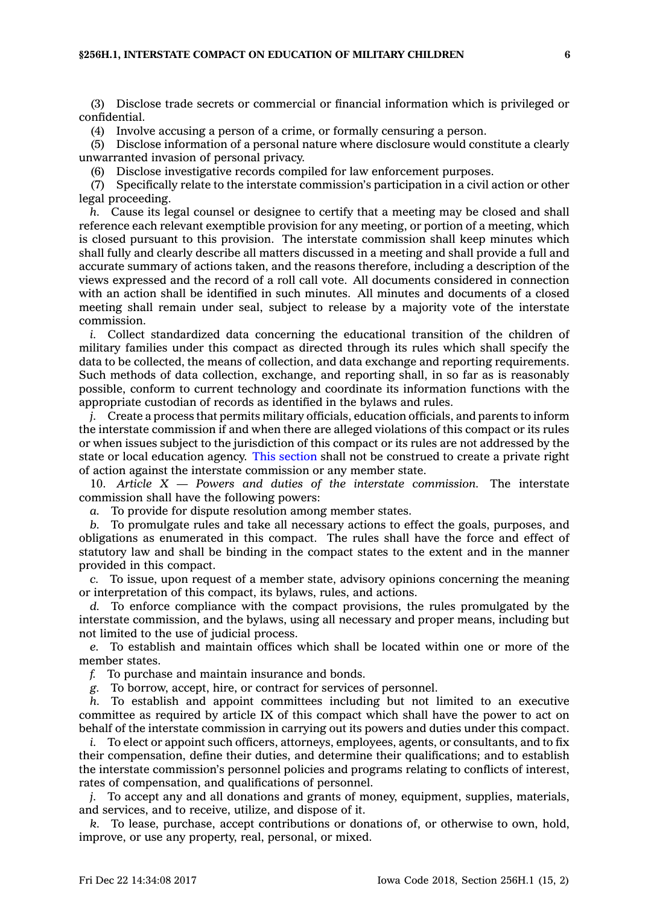(3) Disclose trade secrets or commercial or financial information which is privileged or confidential.

(4) Involve accusing <sup>a</sup> person of <sup>a</sup> crime, or formally censuring <sup>a</sup> person.

(5) Disclose information of <sup>a</sup> personal nature where disclosure would constitute <sup>a</sup> clearly unwarranted invasion of personal privacy.

(6) Disclose investigative records compiled for law enforcement purposes.

(7) Specifically relate to the interstate commission's participation in <sup>a</sup> civil action or other legal proceeding.

*h.* Cause its legal counsel or designee to certify that <sup>a</sup> meeting may be closed and shall reference each relevant exemptible provision for any meeting, or portion of <sup>a</sup> meeting, which is closed pursuant to this provision. The interstate commission shall keep minutes which shall fully and clearly describe all matters discussed in <sup>a</sup> meeting and shall provide <sup>a</sup> full and accurate summary of actions taken, and the reasons therefore, including <sup>a</sup> description of the views expressed and the record of <sup>a</sup> roll call vote. All documents considered in connection with an action shall be identified in such minutes. All minutes and documents of <sup>a</sup> closed meeting shall remain under seal, subject to release by <sup>a</sup> majority vote of the interstate commission.

*i.* Collect standardized data concerning the educational transition of the children of military families under this compact as directed through its rules which shall specify the data to be collected, the means of collection, and data exchange and reporting requirements. Such methods of data collection, exchange, and reporting shall, in so far as is reasonably possible, conform to current technology and coordinate its information functions with the appropriate custodian of records as identified in the bylaws and rules.

*j.* Create a process that permits military officials, education officials, and parents to inform the interstate commission if and when there are alleged violations of this compact or its rules or when issues subject to the jurisdiction of this compact or its rules are not addressed by the state or local education agency. This [section](https://www.legis.iowa.gov/docs/code/256H.1.pdf) shall not be construed to create <sup>a</sup> private right of action against the interstate commission or any member state.

10. *Article X — Powers and duties of the interstate commission.* The interstate commission shall have the following powers:

*a.* To provide for dispute resolution among member states.

*b.* To promulgate rules and take all necessary actions to effect the goals, purposes, and obligations as enumerated in this compact. The rules shall have the force and effect of statutory law and shall be binding in the compact states to the extent and in the manner provided in this compact.

*c.* To issue, upon request of <sup>a</sup> member state, advisory opinions concerning the meaning or interpretation of this compact, its bylaws, rules, and actions.

*d.* To enforce compliance with the compact provisions, the rules promulgated by the interstate commission, and the bylaws, using all necessary and proper means, including but not limited to the use of judicial process.

*e.* To establish and maintain offices which shall be located within one or more of the member states.

*f.* To purchase and maintain insurance and bonds.

*g.* To borrow, accept, hire, or contract for services of personnel.

*h.* To establish and appoint committees including but not limited to an executive committee as required by article IX of this compact which shall have the power to act on behalf of the interstate commission in carrying out its powers and duties under this compact.

*i.* To elect or appoint such officers, attorneys, employees, agents, or consultants, and to fix their compensation, define their duties, and determine their qualifications; and to establish the interstate commission's personnel policies and programs relating to conflicts of interest, rates of compensation, and qualifications of personnel.

*j.* To accept any and all donations and grants of money, equipment, supplies, materials, and services, and to receive, utilize, and dispose of it.

*k.* To lease, purchase, accept contributions or donations of, or otherwise to own, hold, improve, or use any property, real, personal, or mixed.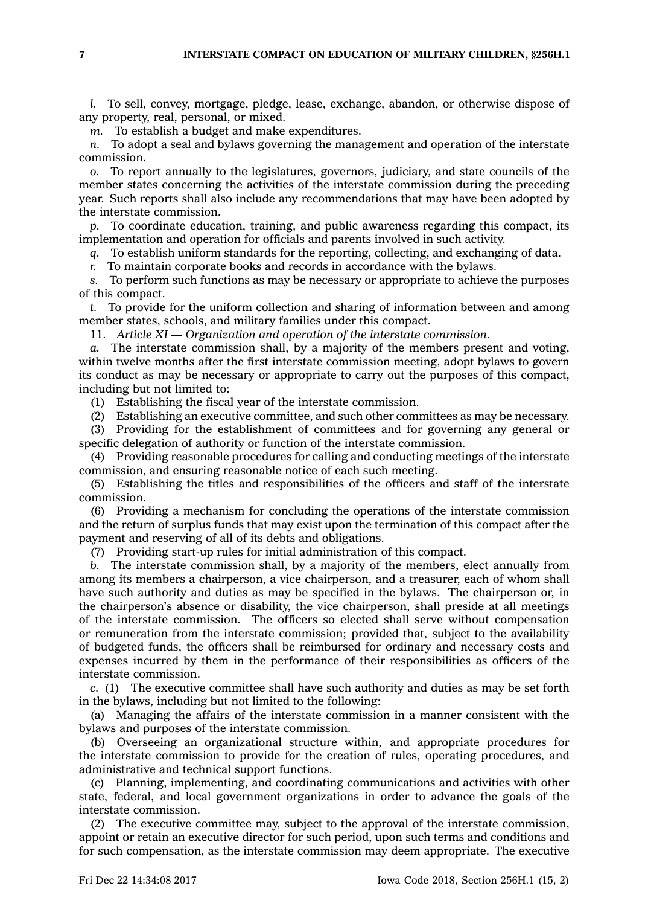*l.* To sell, convey, mortgage, pledge, lease, exchange, abandon, or otherwise dispose of any property, real, personal, or mixed.

*m.* To establish <sup>a</sup> budget and make expenditures.

*n.* To adopt <sup>a</sup> seal and bylaws governing the management and operation of the interstate commission.

*o.* To report annually to the legislatures, governors, judiciary, and state councils of the member states concerning the activities of the interstate commission during the preceding year. Such reports shall also include any recommendations that may have been adopted by the interstate commission.

*p.* To coordinate education, training, and public awareness regarding this compact, its implementation and operation for officials and parents involved in such activity.

*q.* To establish uniform standards for the reporting, collecting, and exchanging of data.

*r.* To maintain corporate books and records in accordance with the bylaws.

*s.* To perform such functions as may be necessary or appropriate to achieve the purposes of this compact.

*t.* To provide for the uniform collection and sharing of information between and among member states, schools, and military families under this compact.

11. *Article XI —Organization and operation of the interstate commission.*

*a.* The interstate commission shall, by <sup>a</sup> majority of the members present and voting, within twelve months after the first interstate commission meeting, adopt bylaws to govern its conduct as may be necessary or appropriate to carry out the purposes of this compact, including but not limited to:

(1) Establishing the fiscal year of the interstate commission.

(2) Establishing an executive committee, and such other committees as may be necessary.

(3) Providing for the establishment of committees and for governing any general or specific delegation of authority or function of the interstate commission.

(4) Providing reasonable procedures for calling and conducting meetings of the interstate commission, and ensuring reasonable notice of each such meeting.

(5) Establishing the titles and responsibilities of the officers and staff of the interstate commission.

(6) Providing <sup>a</sup> mechanism for concluding the operations of the interstate commission and the return of surplus funds that may exist upon the termination of this compact after the payment and reserving of all of its debts and obligations.

(7) Providing start-up rules for initial administration of this compact.

*b.* The interstate commission shall, by <sup>a</sup> majority of the members, elect annually from among its members <sup>a</sup> chairperson, <sup>a</sup> vice chairperson, and <sup>a</sup> treasurer, each of whom shall have such authority and duties as may be specified in the bylaws. The chairperson or, in the chairperson's absence or disability, the vice chairperson, shall preside at all meetings of the interstate commission. The officers so elected shall serve without compensation or remuneration from the interstate commission; provided that, subject to the availability of budgeted funds, the officers shall be reimbursed for ordinary and necessary costs and expenses incurred by them in the performance of their responsibilities as officers of the interstate commission.

*c.* (1) The executive committee shall have such authority and duties as may be set forth in the bylaws, including but not limited to the following:

(a) Managing the affairs of the interstate commission in <sup>a</sup> manner consistent with the bylaws and purposes of the interstate commission.

(b) Overseeing an organizational structure within, and appropriate procedures for the interstate commission to provide for the creation of rules, operating procedures, and administrative and technical support functions.

(c) Planning, implementing, and coordinating communications and activities with other state, federal, and local government organizations in order to advance the goals of the interstate commission.

(2) The executive committee may, subject to the approval of the interstate commission, appoint or retain an executive director for such period, upon such terms and conditions and for such compensation, as the interstate commission may deem appropriate. The executive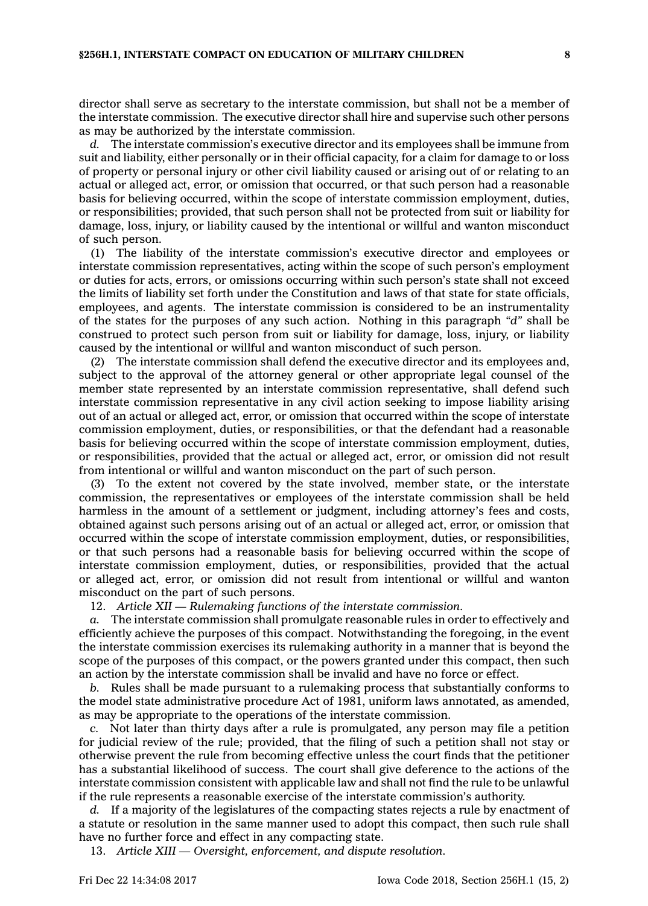director shall serve as secretary to the interstate commission, but shall not be <sup>a</sup> member of the interstate commission. The executive director shall hire and supervise such other persons as may be authorized by the interstate commission.

*d.* The interstate commission's executive director and its employees shall be immune from suit and liability, either personally or in their official capacity, for <sup>a</sup> claim for damage to or loss of property or personal injury or other civil liability caused or arising out of or relating to an actual or alleged act, error, or omission that occurred, or that such person had <sup>a</sup> reasonable basis for believing occurred, within the scope of interstate commission employment, duties, or responsibilities; provided, that such person shall not be protected from suit or liability for damage, loss, injury, or liability caused by the intentional or willful and wanton misconduct of such person.

(1) The liability of the interstate commission's executive director and employees or interstate commission representatives, acting within the scope of such person's employment or duties for acts, errors, or omissions occurring within such person's state shall not exceed the limits of liability set forth under the Constitution and laws of that state for state officials, employees, and agents. The interstate commission is considered to be an instrumentality of the states for the purposes of any such action. Nothing in this paragraph *"d"* shall be construed to protect such person from suit or liability for damage, loss, injury, or liability caused by the intentional or willful and wanton misconduct of such person.

(2) The interstate commission shall defend the executive director and its employees and, subject to the approval of the attorney general or other appropriate legal counsel of the member state represented by an interstate commission representative, shall defend such interstate commission representative in any civil action seeking to impose liability arising out of an actual or alleged act, error, or omission that occurred within the scope of interstate commission employment, duties, or responsibilities, or that the defendant had <sup>a</sup> reasonable basis for believing occurred within the scope of interstate commission employment, duties, or responsibilities, provided that the actual or alleged act, error, or omission did not result from intentional or willful and wanton misconduct on the part of such person.

(3) To the extent not covered by the state involved, member state, or the interstate commission, the representatives or employees of the interstate commission shall be held harmless in the amount of <sup>a</sup> settlement or judgment, including attorney's fees and costs, obtained against such persons arising out of an actual or alleged act, error, or omission that occurred within the scope of interstate commission employment, duties, or responsibilities, or that such persons had <sup>a</sup> reasonable basis for believing occurred within the scope of interstate commission employment, duties, or responsibilities, provided that the actual or alleged act, error, or omission did not result from intentional or willful and wanton misconduct on the part of such persons.

12. *Article XII —Rulemaking functions of the interstate commission.*

*a.* The interstate commission shall promulgate reasonable rules in order to effectively and efficiently achieve the purposes of this compact. Notwithstanding the foregoing, in the event the interstate commission exercises its rulemaking authority in <sup>a</sup> manner that is beyond the scope of the purposes of this compact, or the powers granted under this compact, then such an action by the interstate commission shall be invalid and have no force or effect.

*b.* Rules shall be made pursuant to <sup>a</sup> rulemaking process that substantially conforms to the model state administrative procedure Act of 1981, uniform laws annotated, as amended, as may be appropriate to the operations of the interstate commission.

*c.* Not later than thirty days after <sup>a</sup> rule is promulgated, any person may file <sup>a</sup> petition for judicial review of the rule; provided, that the filing of such <sup>a</sup> petition shall not stay or otherwise prevent the rule from becoming effective unless the court finds that the petitioner has <sup>a</sup> substantial likelihood of success. The court shall give deference to the actions of the interstate commission consistent with applicable law and shall not find the rule to be unlawful if the rule represents <sup>a</sup> reasonable exercise of the interstate commission's authority.

*d.* If <sup>a</sup> majority of the legislatures of the compacting states rejects <sup>a</sup> rule by enactment of <sup>a</sup> statute or resolution in the same manner used to adopt this compact, then such rule shall have no further force and effect in any compacting state.

13. *Article XIII —Oversight, enforcement, and dispute resolution.*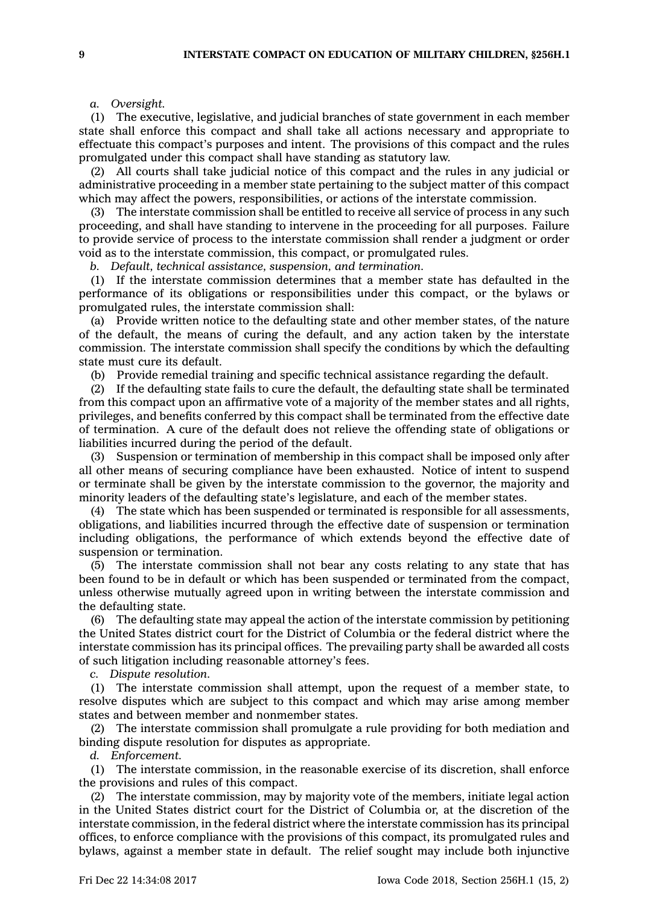## *a. Oversight.*

(1) The executive, legislative, and judicial branches of state government in each member state shall enforce this compact and shall take all actions necessary and appropriate to effectuate this compact's purposes and intent. The provisions of this compact and the rules promulgated under this compact shall have standing as statutory law.

(2) All courts shall take judicial notice of this compact and the rules in any judicial or administrative proceeding in <sup>a</sup> member state pertaining to the subject matter of this compact which may affect the powers, responsibilities, or actions of the interstate commission.

(3) The interstate commission shall be entitled to receive all service of process in any such proceeding, and shall have standing to intervene in the proceeding for all purposes. Failure to provide service of process to the interstate commission shall render <sup>a</sup> judgment or order void as to the interstate commission, this compact, or promulgated rules.

*b. Default, technical assistance, suspension, and termination.*

(1) If the interstate commission determines that <sup>a</sup> member state has defaulted in the performance of its obligations or responsibilities under this compact, or the bylaws or promulgated rules, the interstate commission shall:

(a) Provide written notice to the defaulting state and other member states, of the nature of the default, the means of curing the default, and any action taken by the interstate commission. The interstate commission shall specify the conditions by which the defaulting state must cure its default.

(b) Provide remedial training and specific technical assistance regarding the default.

(2) If the defaulting state fails to cure the default, the defaulting state shall be terminated from this compact upon an affirmative vote of <sup>a</sup> majority of the member states and all rights, privileges, and benefits conferred by this compact shall be terminated from the effective date of termination. A cure of the default does not relieve the offending state of obligations or liabilities incurred during the period of the default.

(3) Suspension or termination of membership in this compact shall be imposed only after all other means of securing compliance have been exhausted. Notice of intent to suspend or terminate shall be given by the interstate commission to the governor, the majority and minority leaders of the defaulting state's legislature, and each of the member states.

(4) The state which has been suspended or terminated is responsible for all assessments, obligations, and liabilities incurred through the effective date of suspension or termination including obligations, the performance of which extends beyond the effective date of suspension or termination.

(5) The interstate commission shall not bear any costs relating to any state that has been found to be in default or which has been suspended or terminated from the compact, unless otherwise mutually agreed upon in writing between the interstate commission and the defaulting state.

(6) The defaulting state may appeal the action of the interstate commission by petitioning the United States district court for the District of Columbia or the federal district where the interstate commission has its principal offices. The prevailing party shall be awarded all costs of such litigation including reasonable attorney's fees.

*c. Dispute resolution.*

(1) The interstate commission shall attempt, upon the request of <sup>a</sup> member state, to resolve disputes which are subject to this compact and which may arise among member states and between member and nonmember states.

(2) The interstate commission shall promulgate <sup>a</sup> rule providing for both mediation and binding dispute resolution for disputes as appropriate.

*d. Enforcement.*

(1) The interstate commission, in the reasonable exercise of its discretion, shall enforce the provisions and rules of this compact.

(2) The interstate commission, may by majority vote of the members, initiate legal action in the United States district court for the District of Columbia or, at the discretion of the interstate commission, in the federal district where the interstate commission has its principal offices, to enforce compliance with the provisions of this compact, its promulgated rules and bylaws, against <sup>a</sup> member state in default. The relief sought may include both injunctive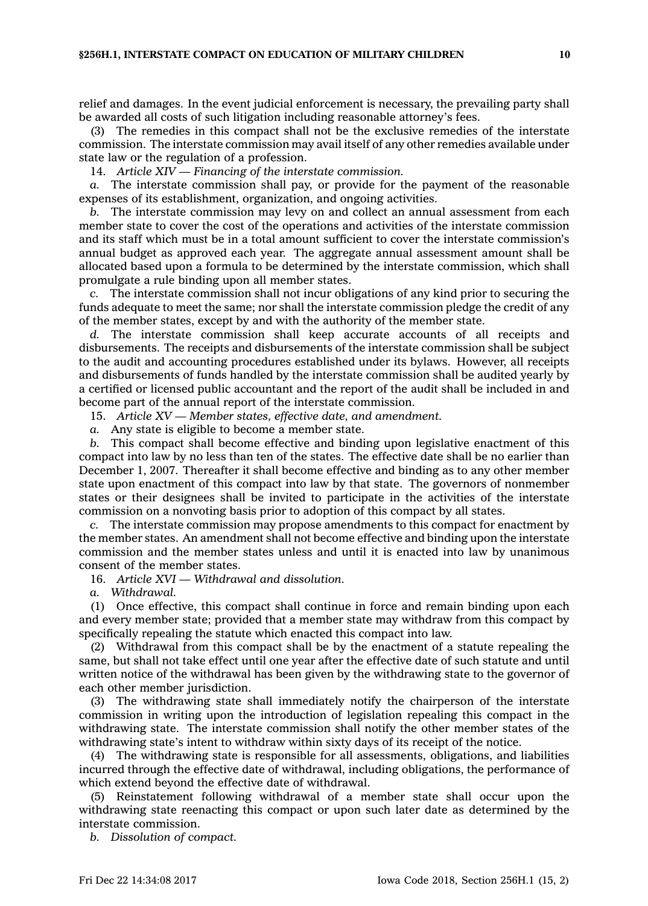relief and damages. In the event judicial enforcement is necessary, the prevailing party shall be awarded all costs of such litigation including reasonable attorney's fees.

(3) The remedies in this compact shall not be the exclusive remedies of the interstate commission. The interstate commission may avail itself of any other remedies available under state law or the regulation of <sup>a</sup> profession.

14. *Article XIV — Financing of the interstate commission.*

*a.* The interstate commission shall pay, or provide for the payment of the reasonable expenses of its establishment, organization, and ongoing activities.

*b.* The interstate commission may levy on and collect an annual assessment from each member state to cover the cost of the operations and activities of the interstate commission and its staff which must be in <sup>a</sup> total amount sufficient to cover the interstate commission's annual budget as approved each year. The aggregate annual assessment amount shall be allocated based upon <sup>a</sup> formula to be determined by the interstate commission, which shall promulgate <sup>a</sup> rule binding upon all member states.

*c.* The interstate commission shall not incur obligations of any kind prior to securing the funds adequate to meet the same; nor shall the interstate commission pledge the credit of any of the member states, except by and with the authority of the member state.

*d.* The interstate commission shall keep accurate accounts of all receipts and disbursements. The receipts and disbursements of the interstate commission shall be subject to the audit and accounting procedures established under its bylaws. However, all receipts and disbursements of funds handled by the interstate commission shall be audited yearly by <sup>a</sup> certified or licensed public accountant and the report of the audit shall be included in and become part of the annual report of the interstate commission.

15. *Article XV — Member states, effective date, and amendment.*

*a.* Any state is eligible to become <sup>a</sup> member state.

*b.* This compact shall become effective and binding upon legislative enactment of this compact into law by no less than ten of the states. The effective date shall be no earlier than December 1, 2007. Thereafter it shall become effective and binding as to any other member state upon enactment of this compact into law by that state. The governors of nonmember states or their designees shall be invited to participate in the activities of the interstate commission on <sup>a</sup> nonvoting basis prior to adoption of this compact by all states.

*c.* The interstate commission may propose amendments to this compact for enactment by the member states. An amendment shall not become effective and binding upon the interstate commission and the member states unless and until it is enacted into law by unanimous consent of the member states.

16. *Article XVI — Withdrawal and dissolution.*

*a. Withdrawal.*

(1) Once effective, this compact shall continue in force and remain binding upon each and every member state; provided that <sup>a</sup> member state may withdraw from this compact by specifically repealing the statute which enacted this compact into law.

(2) Withdrawal from this compact shall be by the enactment of <sup>a</sup> statute repealing the same, but shall not take effect until one year after the effective date of such statute and until written notice of the withdrawal has been given by the withdrawing state to the governor of each other member jurisdiction.

(3) The withdrawing state shall immediately notify the chairperson of the interstate commission in writing upon the introduction of legislation repealing this compact in the withdrawing state. The interstate commission shall notify the other member states of the withdrawing state's intent to withdraw within sixty days of its receipt of the notice.

(4) The withdrawing state is responsible for all assessments, obligations, and liabilities incurred through the effective date of withdrawal, including obligations, the performance of which extend beyond the effective date of withdrawal.

(5) Reinstatement following withdrawal of <sup>a</sup> member state shall occur upon the withdrawing state reenacting this compact or upon such later date as determined by the interstate commission.

*b. Dissolution of compact.*